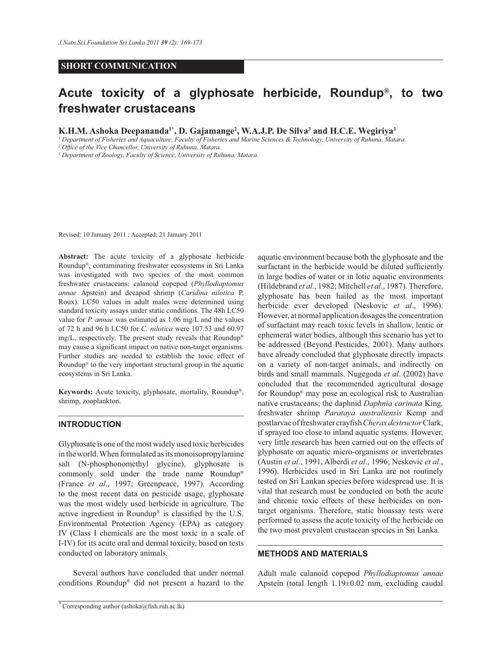## **SHORT COMMUNICATION**

# **Acute toxicity of a glyphosate herbicide, Roundup® , to two freshwater crustaceans**

**K.H.M. Ashoka Deepananda1\*, D. Gajamange<sup>2</sup> , W.A.J.P. De Silva<sup>3</sup> and H.C.E. Wegiriya<sup>3</sup>**

*<sup>1</sup> Department of Fisheries and Aquaculture, Faculty of Fisheries and Marine Sciences & Technology, University of Ruhuna, Matara.*

*<sup>2</sup> Office of the Vice Chancellor, University of Ruhuna, Matara.*

*3 Department of Zoology, Faculty of Science, University of Ruhuna, Matara.*

Revised: 10 January 2011 ; Accepted: 21 January 2011

**Abstract:** The acute toxicity of a glyphosate herbicide Roundup® , contaminating freshwater ecosystems in Sri Lanka was investigated with two species of the most common freshwater crustaceans: calanoid copepod (*Phyllodiaptomus annae* Apstein) and decapod shrimp (*Caridina nilotica* P. Roux). LC50 values in adult males were determined using standard toxicity assays under static conditions. The 48h LC50 value for *P. annae* was estimated as 1.06 mg/L and the values of 72 h and 96 h LC50 for *C. nilotica* were 107.53 and 60.97 mg/L, respectively. The present study reveals that Roundup® may cause a significant impact on native non-target organisms. Further studies are needed to establish the toxic effect of Roundup® to the very important structural group in the aquatic ecosystems in Sri Lanka.

**Keywords:** Acute toxicity, glyphosate, mortality, Roundup® , shrimp, zooplankton.

## **INTRODUCTION**

Glyphosate is one of the most widely used toxic herbicides in the world. When formulated as its monoisopropylamine salt (N-phosphonomethyl glycine), glyphosate is commonly sold under the trade name Roundup® (France *et al*., 1997; Greenpeace, 1997). According to the most recent data on pesticide usage, glyphosate was the most widely used herbicide in agriculture. The active ingredient in Roundup® is classified by the U.S. Environmental Protection Agency (EPA) as category IV (Class I chemicals are the most toxic in a scale of I-IV) for its acute oral and dermal toxicity, based on tests conducted on laboratory animals.

 Several authors have concluded that under normal conditions Roundup® did not present a hazard to the aquatic environment because both the glyphosate and the surfactant in the herbicide would be diluted sufficiently in large bodies of water or in lotic aquatic environments (Hildebrand *et al.*, 1982; Mitchell *et al*., 1987). Therefore, glyphosate has been hailed as the most important herbicide ever developed (Neskovic *et al*., 1996). However, at normal application dosages the concentration of surfactant may reach toxic levels in shallow, lentic or ephemeral water bodies, although this scenario has yet to be addressed (Beyond Pesticides, 2001). Many authors have already concluded that glyphosate directly impacts on a variety of non-target animals, and indirectly on birds and small mammals. Nugegoda *et al*. (2002) have concluded that the recommended agricultural dosage for Roundup® may pose an ecological risk to Australian native crustaceans; the daphnid *Daphnia carinata* King*,*  freshwater shrimp *Parataya australiensis* Kemp and postlarvae of freshwater crayfish *Cherax destructor* Clark, if sprayed too close to inland aquatic systems. However, very little research has been carried out on the effects of glyphosate on aquatic micro-organisms or invertebrates (Austin *et al*., 1991, Alberdi *et al*., 1996; Neskovic *et al*., 1996). Herbicides used in Sri Lanka are not routinely tested on Sri Lankan species before widespread use. It is vital that research must be conducted on both the acute and chronic toxic effects of these herbicides on nontarget organisms. Therefore, static bioassay tests were performed to assess the acute toxicity of the herbicide on the two most prevalent crustacean species in Sri Lanka.

## **METHODS AND MATERIALS**

Adult male calanoid copepod *Phyllodiaptomus annae* Apstein (total length 1.19±0.02 mm, excluding caudal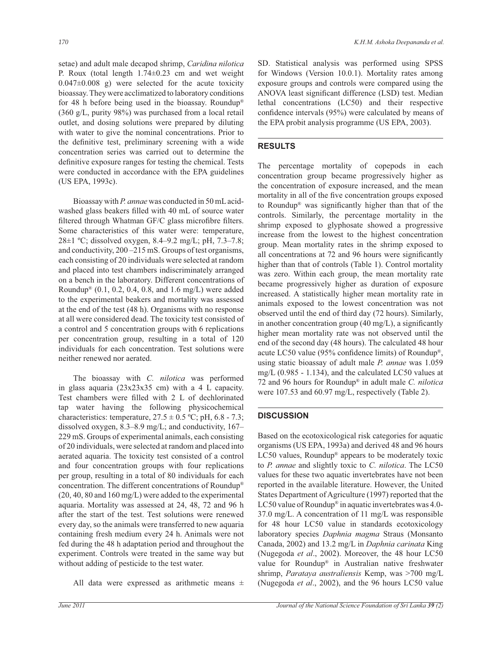setae) and adult male decapod shrimp, *Caridina nilotica* P. Roux (total length 1.74±0.23 cm and wet weight  $0.047\pm0.008$  g) were selected for the acute toxicity bioassay. They were acclimatized to laboratory conditions for 48 h before being used in the bioassay. Roundup® (360 g/L, purity 98%) was purchased from a local retail outlet, and dosing solutions were prepared by diluting with water to give the nominal concentrations. Prior to the definitive test, preliminary screening with a wide concentration series was carried out to determine the definitive exposure ranges for testing the chemical. Tests were conducted in accordance with the EPA guidelines (US EPA, 1993c).

 Bioassay with *P. annae* was conducted in 50 mL acidwashed glass beakers filled with 40 mL of source water filtered through Whatman GF/C glass microfibre filters. Some characteristics of this water were: temperature, 28±1 ºC; dissolved oxygen, 8.4–9.2 mg/L; pH, 7.3–7.8; and conductivity, 200 –215 mS. Groups of test organisms, each consisting of 20 individuals were selected at random and placed into test chambers indiscriminately arranged on a bench in the laboratory. Different concentrations of Roundup® (0.1, 0.2, 0.4, 0.8, and 1.6 mg/L) were added to the experimental beakers and mortality was assessed at the end of the test (48 h). Organisms with no response at all were considered dead. The toxicity test consisted of a control and 5 concentration groups with 6 replications per concentration group, resulting in a total of 120 individuals for each concentration. Test solutions were neither renewed nor aerated.

 The bioassay with *C. nilotica* was performed in glass aquaria (23x23x35 cm) with a 4 L capacity. Test chambers were filled with 2 L of dechlorinated tap water having the following physicochemical characteristics: temperature,  $27.5 \pm 0.5$  °C; pH, 6.8 - 7.3; dissolved oxygen, 8.3–8.9 mg/L; and conductivity, 167– 229 mS. Groups of experimental animals, each consisting of 20 individuals, were selected at random and placed into aerated aquaria. The toxicity test consisted of a control and four concentration groups with four replications per group, resulting in a total of 80 individuals for each concentration. The different concentrations of Roundup® (20, 40, 80 and 160 mg/L) were added to the experimental aquaria. Mortality was assessed at 24, 48, 72 and 96 h after the start of the test. Test solutions were renewed every day, so the animals were transferred to new aquaria containing fresh medium every 24 h. Animals were not fed during the 48 h adaptation period and throughout the experiment. Controls were treated in the same way but without adding of pesticide to the test water.

All data were expressed as arithmetic means  $\pm$ 

SD. Statistical analysis was performed using SPSS for Windows (Version 10.0.1). Mortality rates among exposure groups and controls were compared using the ANOVA least significant difference (LSD) test. Median lethal concentrations (LC50) and their respective confidence intervals (95%) were calculated by means of the EPA probit analysis programme (US EPA, 2003).

## **RESULTS**

The percentage mortality of copepods in each concentration group became progressively higher as the concentration of exposure increased, and the mean mortality in all of the five concentration groups exposed to Roundup® was significantly higher than that of the controls. Similarly, the percentage mortality in the shrimp exposed to glyphosate showed a progressive increase from the lowest to the highest concentration group. Mean mortality rates in the shrimp exposed to all concentrations at 72 and 96 hours were significantly higher than that of controls (Table 1). Control mortality was zero. Within each group, the mean mortality rate became progressively higher as duration of exposure increased. A statistically higher mean mortality rate in animals exposed to the lowest concentration was not observed until the end of third day (72 hours). Similarly, in another concentration group (40 mg/L), a significantly higher mean mortality rate was not observed until the end of the second day (48 hours). The calculated 48 hour acute LC50 value (95% confidence limits) of Roundup® , using static bioassay of adult male *P. annae* was 1.059 mg/L (0.985 - 1.134), and the calculated LC50 values at 72 and 96 hours for Roundup® in adult male *C. nilotica* were 107.53 and 60.97 mg/L, respectively (Table 2).

## **DISCUSSION**

Based on the ecotoxicological risk categories for aquatic organisms (US EPA, 1993a) and derived 48 and 96 hours LC50 values, Roundup® appears to be moderately toxic to *P. annae* and slightly toxic to *C. nilotica*. The LC50 values for these two aquatic invertebrates have not been reported in the available literature. However, the United States Department of Agriculture (1997) reported that the LC50 value of Roundup® in aquatic invertebrates was 4.0- 37.0 mg/L. A concentration of 11 mg/L was responsible for 48 hour LC50 value in standards ecotoxicology laboratory species *Daphnia magma* Straus (Monsanto Canada, 2002) and 13.2 mg/L in *Daphnia carinata* King (Nugegoda *et al*., 2002). Moreover, the 48 hour LC50 value for Roundup® in Australian native freshwater shrimp, *Parataya australiensis* Kemp, was >700 mg/L (Nugegoda *et al*., 2002), and the 96 hours LC50 value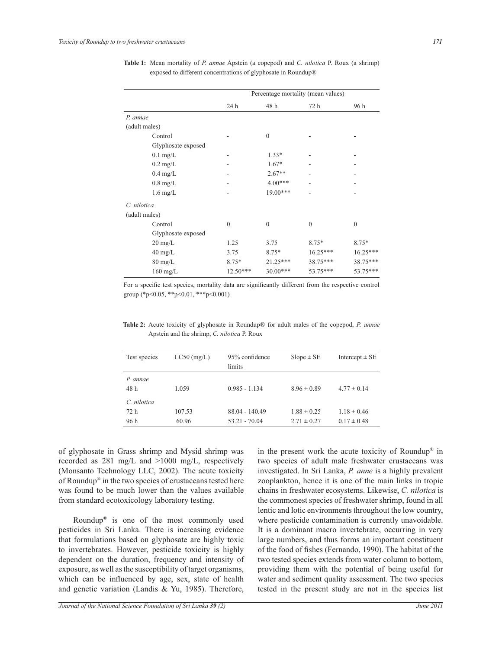|                    | Percentage mortality (mean values) |              |              |              |
|--------------------|------------------------------------|--------------|--------------|--------------|
|                    | 24 h                               | 48 h         | 72 h         | 96 h         |
| P. annae           |                                    |              |              |              |
| (adult males)      |                                    |              |              |              |
| Control            |                                    | $\mathbf{0}$ |              |              |
| Glyphosate exposed |                                    |              |              |              |
| $0.1$ mg/L         |                                    | $1.33*$      |              |              |
| $0.2 \text{ mg/L}$ |                                    | $1.67*$      |              |              |
| $0.4$ mg/L         |                                    | $2.67**$     |              |              |
| $0.8$ mg/L         |                                    | $4.00***$    |              |              |
| $1.6$ mg/L         |                                    | $19.00***$   |              |              |
| C. nilotica        |                                    |              |              |              |
| (adult males)      |                                    |              |              |              |
| Control            | $\theta$                           | $\mathbf{0}$ | $\mathbf{0}$ | $\mathbf{0}$ |
| Glyphosate exposed |                                    |              |              |              |
| $20 \text{ mg/L}$  | 1.25                               | 3.75         | 8.75*        | $8.75*$      |
| $40 \text{ mg/L}$  | 3.75                               | $8.75*$      | $16.25***$   | 16.25***     |
| $80 \text{ mg/L}$  | $8.75*$                            | $21.25***$   | 38.75***     | 38.75***     |
| $160$ mg/L         | $12.50***$                         | $30.00***$   | 53.75***     | 53.75***     |

**Table 1:** Mean mortality of *P. annae* Apstein (a copepod) and *C. nilotica* P. Roux (a shrimp) exposed to different concentrations of glyphosate in Roundup®

For a specific test species, mortality data are significantly different from the respective control group (\*p<0.05, \*\*p<0.01, \*\*\*p<0.001)

| Test species     | $LC50$ (mg/L) | 95% confidence<br>limits | $Slope \pm SE$  | Intercept $\pm$ SE |
|------------------|---------------|--------------------------|-----------------|--------------------|
| P. annae<br>48 h | 1.059         | $0.985 - 1.134$          | $8.96 \pm 0.89$ | $4.77 \pm 0.14$    |
| C. nilotica      |               |                          |                 |                    |
| 72 h             | 107.53        | 88.04 - 140.49           | $1.88 \pm 0.25$ | $1.18 \pm 0.46$    |
| 96 h             | 60.96         | $53.21 - 70.04$          | $2.71 \pm 0.27$ | $0.17 \pm 0.48$    |

**Table 2:** Acute toxicity of glyphosate in Roundup® for adult males of the copepod, *P. annae* Apstein and the shrimp, *C. nilotica* P. Roux

of glyphosate in Grass shrimp and Mysid shrimp was recorded as 281 mg/L and >1000 mg/L, respectively (Monsanto Technology LLC, 2002). The acute toxicity of Roundup® in the two species of crustaceans tested here was found to be much lower than the values available from standard ecotoxicology laboratory testing.

 Roundup® is one of the most commonly used pesticides in Sri Lanka. There is increasing evidence that formulations based on glyphosate are highly toxic to invertebrates. However, pesticide toxicity is highly dependent on the duration, frequency and intensity of exposure, as well as the susceptibility of target organisms, which can be influenced by age, sex, state of health and genetic variation (Landis & Yu, 1985). Therefore,

in the present work the acute toxicity of Roundup<sup>®</sup> in two species of adult male freshwater crustaceans was investigated. In Sri Lanka, *P. anne* is a highly prevalent zooplankton, hence it is one of the main links in tropic chains in freshwater ecosystems. Likewise, *C. nilotica* is the commonest species of freshwater shrimp, found in all lentic and lotic environments throughout the low country, where pesticide contamination is currently unavoidable. It is a dominant macro invertebrate, occurring in very large numbers, and thus forms an important constituent of the food of fishes (Fernando, 1990). The habitat of the two tested species extends from water column to bottom, providing them with the potential of being useful for water and sediment quality assessment. The two species tested in the present study are not in the species list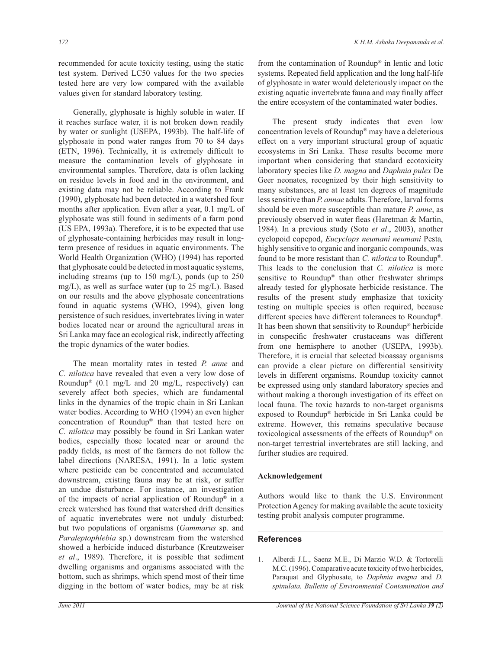recommended for acute toxicity testing, using the static test system. Derived LC50 values for the two species tested here are very low compared with the available values given for standard laboratory testing.

 Generally, glyphosate is highly soluble in water. If it reaches surface water, it is not broken down readily by water or sunlight (USEPA, 1993b). The half-life of glyphosate in pond water ranges from 70 to 84 days (ETN, 1996). Technically, it is extremely difficult to measure the contamination levels of glyphosate in environmental samples. Therefore, data is often lacking on residue levels in food and in the environment, and existing data may not be reliable. According to Frank (1990), glyphosate had been detected in a watershed four months after application. Even after a year, 0.1 mg/L of glyphosate was still found in sediments of a farm pond (US EPA, 1993a). Therefore, it is to be expected that use of glyphosate-containing herbicides may result in longterm presence of residues in aquatic environments. The World Health Organization (WHO) (1994) has reported that glyphosate could be detected in most aquatic systems, including streams (up to 150 mg/L), ponds (up to 250 mg/L), as well as surface water (up to 25 mg/L). Based on our results and the above glyphosate concentrations found in aquatic systems (WHO, 1994), given long persistence of such residues, invertebrates living in water bodies located near or around the agricultural areas in Sri Lanka may face an ecological risk, indirectly affecting the tropic dynamics of the water bodies.

 The mean mortality rates in tested *P. anne* and *C. nilotica* have revealed that even a very low dose of Roundup® (0.1 mg/L and 20 mg/L, respectively) can severely affect both species, which are fundamental links in the dynamics of the tropic chain in Sri Lankan water bodies. According to WHO (1994) an even higher concentration of Roundup® than that tested here on *C. nilotica* may possibly be found in Sri Lankan water bodies, especially those located near or around the paddy fields, as most of the farmers do not follow the label directions (NARESA, 1991). In a lotic system where pesticide can be concentrated and accumulated downstream, existing fauna may be at risk, or suffer an undue disturbance. For instance, an investigation of the impacts of aerial application of Roundup® in a creek watershed has found that watershed drift densities of aquatic invertebrates were not unduly disturbed; but two populations of organisms (*Gammarus* sp. and *Paraleptophlebia* sp.) downstream from the watershed showed a herbicide induced disturbance (Kreutzweiser *et al*., 1989). Therefore, it is possible that sediment dwelling organisms and organisms associated with the bottom, such as shrimps, which spend most of their time digging in the bottom of water bodies, may be at risk

from the contamination of Roundup® in lentic and lotic systems. Repeated field application and the long half-life of glyphosate in water would deleteriously impact on the existing aquatic invertebrate fauna and may finally affect the entire ecosystem of the contaminated water bodies.

 The present study indicates that even low concentration levels of Roundup® may have a deleterious effect on a very important structural group of aquatic ecosystems in Sri Lanka. These results become more important when considering that standard ecotoxicity laboratory species like *D. magna* and *Daphnia pulex* De Geer neonates, recognized by their high sensitivity to many substances, are at least ten degrees of magnitude less sensitive than *P. annae* adults. Therefore, larval forms should be even more susceptible than mature *P. anne*, as previously observed in water fleas (Haretman & Martin, 1984). In a previous study (Soto *et al*., 2003), another cyclopoid copepod, *Eucyclops neumani neumani* Pesta*,* highly sensitive to organic and inorganic compounds, was found to be more resistant than *C. nilotica* to Roundup® . This leads to the conclusion that *C. nilotica* is more sensitive to Roundup® than other freshwater shrimps already tested for glyphosate herbicide resistance. The results of the present study emphasize that toxicity testing on multiple species is often required, because different species have different tolerances to Roundup® . It has been shown that sensitivity to Roundup® herbicide in conspecific freshwater crustaceans was different from one hemisphere to another (USEPA, 1993b). Therefore, it is crucial that selected bioassay organisms can provide a clear picture on differential sensitivity levels in different organisms. Roundup toxicity cannot be expressed using only standard laboratory species and without making a thorough investigation of its effect on local fauna. The toxic hazards to non-target organisms exposed to Roundup® herbicide in Sri Lanka could be extreme. However, this remains speculative because toxicological assessments of the effects of Roundup® on non-target terrestrial invertebrates are still lacking, and further studies are required.

#### **Acknowledgement**

Authors would like to thank the U.S. Environment Protection Agency for making available the acute toxicity testing probit analysis computer programme.

## **References**

1. Alberdi J.L., Saenz M.E., Di Marzio W.D. & Tortorelli M.C. (1996). Comparative acute toxicity of two herbicides, Paraquat and Glyphosate, to *Daphnia magna* and *D. spinulata. Bulletin of Environmental Contamination and*